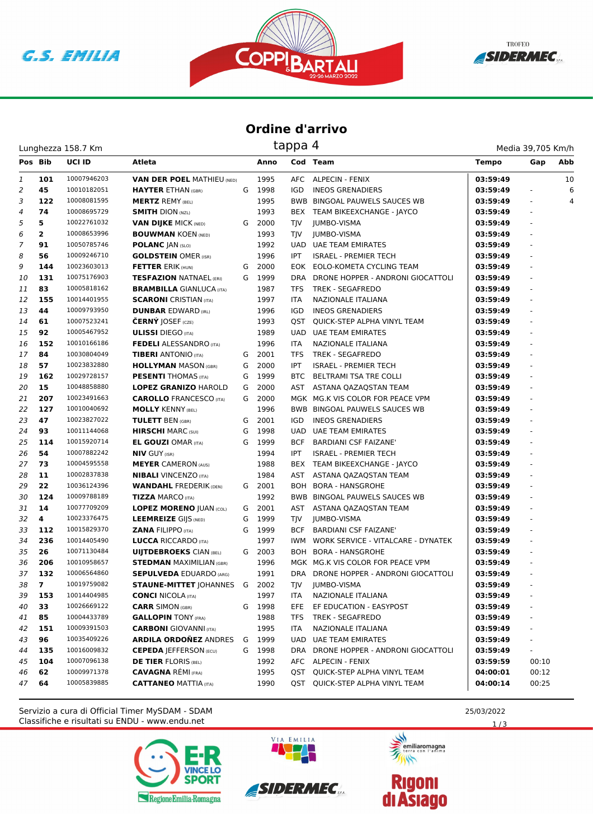





## **Ordine d'arrivo**

Lunghezza 158.7 Km

| Media 39,705 Km/h |  |
|-------------------|--|
|                   |  |

| Pos Bib        |                | <b>UCI ID</b> | Atleta                            |   | Anno   |            | Cod Team                              | <b>Tempo</b> | Gap      | Abb |
|----------------|----------------|---------------|-----------------------------------|---|--------|------------|---------------------------------------|--------------|----------|-----|
| 1              | 101            | 10007946203   | <b>VAN DER POEL MATHIEU (NED)</b> |   | 1995   |            | AFC ALPECIN - FENIX                   | 03:59:49     |          | 10  |
| $\overline{2}$ | 45             | 10010182051   | <b>HAYTER ETHAN (GBR)</b>         | G | 1998   | IGD        | <b>INEOS GRENADIERS</b>               | 03:59:49     |          | 6   |
| 3              | 122            | 10008081595   | <b>MERTZ REMY (BEL)</b>           |   | 1995   |            | BWB BINGOAL PAUWELS SAUCES WB         | 03:59:49     | ÷,       | 4   |
| 4              | 74             | 10008695729   | <b>SMITH DION (NZL)</b>           |   | 1993   |            | BEX TEAM BIKEEXCHANGE - JAYCO         | 03:59:49     | ÷,       |     |
| 5              | 5              | 10022761032   | <b>VAN DIJKE MICK (NED)</b>       | G | 2000   | TJV        | <b>JUMBO-VISMA</b>                    | 03:59:49     | $\omega$ |     |
| 6              | $\mathbf{2}$   | 10008653996   | <b>BOUWMAN KOEN (NED)</b>         |   | 1993   | TIV        | <b>JUMBO-VISMA</b>                    | 03:59:49     |          |     |
| 7              | 91             | 10050785746   | <b>POLANC JAN (SLO)</b>           |   | 1992   |            | UAD UAE TEAM EMIRATES                 | 03:59:49     |          |     |
| 8              | 56             | 10009246710   | <b>GOLDSTEIN OMER (ISR)</b>       |   | 1996   | IPT.       | <b>ISRAEL - PREMIER TECH</b>          | 03:59:49     |          |     |
| 9              | 144            | 10023603013   | <b>FETTER ERIK (HUN)</b>          | G | 2000   | EOK        | EOLO-KOMETA CYCLING TEAM              | 03:59:49     | ä,       |     |
| 10             | 131            | 10075176903   | <b>TESFAZION NATNAEL (ERI)</b>    | G | 1999   | DRA        | DRONE HOPPER - ANDRONI GIOCATTOLI     | 03:59:49     |          |     |
| 11             | 83             | 10005818162   | <b>BRAMBILLA GIANLUCA (ITA)</b>   |   | 1987   | TFS        | TREK - SEGAFREDO                      | 03:59:49     |          |     |
| 12             | 155            | 10014401955   | <b>SCARONI</b> CRISTIAN (ITA)     |   | 1997   | <b>ITA</b> | <b>NAZIONALE ITALIANA</b>             | 03:59:49     |          |     |
| 13             | 44             | 10009793950   | <b>DUNBAR EDWARD (IRL)</b>        |   | 1996   | IGD        | <b>INEOS GRENADIERS</b>               | 03:59:49     |          |     |
| 14             | 61             | 10007523241   | <b>ČERNÝ JOSEF</b> (CZE)          |   | 1993   | QST        | QUICK-STEP ALPHA VINYL TEAM           | 03:59:49     |          |     |
| 15             | 92             | 10005467952   | <b>ULISSI</b> DIEGO (ITA)         |   | 1989   | UAD        | <b>UAE TEAM EMIRATES</b>              | 03:59:49     |          |     |
| 16             | 152            | 10010166186   | <b>FEDELI ALESSANDRO</b> (ITA)    |   | 1996   | <b>ITA</b> | NAZIONALE ITALIANA                    | 03:59:49     | ÷,       |     |
| 17             | 84             | 10030804049   | <b>TIBERI</b> ANTONIO (ITA)       | G | 2001   | TFS        | TREK - SEGAFREDO                      | 03:59:49     | $\omega$ |     |
| 18             | 57             | 10023832880   | <b>HOLLYMAN MASON (GBR)</b>       | G | 2000   | <b>IPT</b> | <b>ISRAEL - PREMIER TECH</b>          | 03:59:49     |          |     |
| 19             | 162            | 10029728157   | <b>PESENTI THOMAS (ITA)</b>       | G | 1999   | BTC        | BELTRAMI TSA TRE COLLI                | 03:59:49     |          |     |
| 20             | 15             | 10048858880   | <b>LOPEZ GRANIZO HAROLD</b>       | G | 2000   |            | AST ASTANA QAZAQSTAN TEAM             | 03:59:49     |          |     |
| 21             | 207            | 10023491663   | <b>CAROLLO</b> FRANCESCO (ITA)    | G | 2000   |            | MGK MG.K VIS COLOR FOR PEACE VPM      | 03:59:49     | ä,       |     |
| 22             | 127            | 10010040692   | <b>MOLLY KENNY (BEL)</b>          |   | 1996   |            | BWB BINGOAL PAUWELS SAUCES WB         | 03:59:49     |          |     |
| 23             | 47             | 10023827022   | <b>TULETT BEN (GBR)</b>           | G | 2001   | IGD        | <b>INEOS GRENADIERS</b>               | 03:59:49     |          |     |
| 24             | 93             | 10011144068   | <b>HIRSCHI</b> MARC (SUI)         | G | 1998   | <b>UAD</b> | <b>UAE TEAM EMIRATES</b>              | 03:59:49     |          |     |
| 25             | 114            | 10015920714   | <b>EL GOUZI OMAR (ITA)</b>        | G | 1999   | <b>BCF</b> | <b>BARDIANI CSF FAIZANE'</b>          | 03:59:49     |          |     |
| 26             | 54             | 10007882242   | <b>NIV GUY (ISR)</b>              |   | 1994   | IPT        | <b>ISRAEL - PREMIER TECH</b>          | 03:59:49     |          |     |
| 27             | 73             | 10004595558   | <b>MEYER CAMERON (AUS)</b>        |   | 1988   |            | BEX TEAM BIKEEXCHANGE - JAYCO         | 03:59:49     |          |     |
| 28             | 11             | 10002837838   | <b>NIBALI</b> VINCENZO (ITA)      |   | 1984   | AST        | ASTANA QAZAQSTAN TEAM                 | 03:59:49     | ÷,       |     |
| 29             | 22             | 10036124396   | <b>WANDAHL FREDERIK (DEN)</b>     |   | G 2001 |            | BOH BORA - HANSGROHE                  | 03:59:49     | $\omega$ |     |
| 30             | 124            | 10009788189   | <b>TIZZA MARCO (ITA)</b>          |   | 1992   |            | <b>BWB BINGOAL PAUWELS SAUCES WB</b>  | 03:59:49     |          |     |
| 31             | 14             | 10077709209   | <b>LOPEZ MORENO JUAN (COL)</b>    | G | 2001   |            | AST ASTANA QAZAQSTAN TEAM             | 03:59:49     |          |     |
| 32             | 4              | 10023376475   | <b>LEEMREIZE GIJS (NED)</b>       | G | 1999   | <b>TJV</b> | JUMBO-VISMA                           | 03:59:49     |          |     |
| 33             | 112            | 10015829370   | <b>ZANA FILIPPO (ITA)</b>         | G | 1999   | <b>BCF</b> | <b>BARDIANI CSF FAIZANE'</b>          | 03:59:49     | ä,       |     |
| 34             | 236            | 10014405490   | <b>LUCCA RICCARDO</b> (ITA)       |   | 1997   | IWM        | WORK SERVICE - VITALCARE - DYNATEK    | 03:59:49     |          |     |
| 35             | 26             | 10071130484   | <b>UIJTDEBROEKS CIAN (BEL)</b>    |   | G 2003 | BOH        | <b>BORA - HANSGROHE</b>               | 03:59:49     |          |     |
| 36             | 206            | 10010958657   | <b>STEDMAN MAXIMILIAN (GBR)</b>   |   | 1996   |            | MGK MG.K VIS COLOR FOR PEACE VPM      | 03:59:49     |          |     |
| 37             | 132            | 10006564860   | <b>SEPULVEDA EDUARDO (ARG)</b>    |   | 1991   |            | DRA DRONE HOPPER - ANDRONI GIOCATTOLI | 03:59:49     |          |     |
| 38             | $\overline{7}$ | 10019759082   | <b>STAUNE-MITTET   OHANNES</b>    | G | 2002   | <b>TJV</b> | <b>JUMBO-VISMA</b>                    | 03:59:49     |          |     |
| 39             | 153            | 10014404985   | <b>CONCI NICOLA (ITA)</b>         |   | 1997   | <b>ITA</b> | NAZIONALE ITALIANA                    | 03:59:49     |          |     |
| 40             | 33             | 10026669122   | <b>CARR SIMON (GBR)</b>           | G | 1998   | EFE        | EF EDUCATION - EASYPOST               | 03:59:49     |          |     |
| 41             | 85             | 10004433789   | <b>GALLOPIN TONY (FRA)</b>        |   | 1988   | TFS        | <b>TREK - SEGAFREDO</b>               | 03:59:49     |          |     |
| 42             | 151            | 10009391503   | <b>CARBONI</b> GIOVANNI (ITA)     |   | 1995   | <b>ITA</b> | NAZIONALE ITALIANA                    | 03:59:49     |          |     |
| 43             | 96             | 10035409226   | <b>ARDILA ORDOÑEZ ANDRES</b>      | G | 1999   |            | <b>UAD UAE TEAM EMIRATES</b>          | 03:59:49     |          |     |
| 44             | 135            | 10016009832   | <b>CEPEDA JEFFERSON (ECU)</b>     |   | G 1998 |            | DRA DRONE HOPPER - ANDRONI GIOCATTOLI | 03:59:49     |          |     |
| 45             | 104            | 10007096138   | <b>DE TIER FLORIS (BEL)</b>       |   | 1992   |            | AFC ALPECIN - FENIX                   | 03:59:59     | 00:10    |     |
| 46             | 62             | 10009971378   | <b>CAVAGNA RÉMI (FRA)</b>         |   | 1995   | QST        | QUICK-STEP ALPHA VINYL TEAM           | 04:00:01     | 00:12    |     |
| 47             | 64             | 10005839885   | <b>CATTANEO MATTIA (ITA)</b>      |   | 1990   | QST        | QUICK-STEP ALPHA VINYL TEAM           | 04:00:14     | 00:25    |     |

Classifiche e risultati su ENDU - www.endu.net Servizio a cura di Official Timer MySDAM - SDAM 25/03/2022







 $1/3$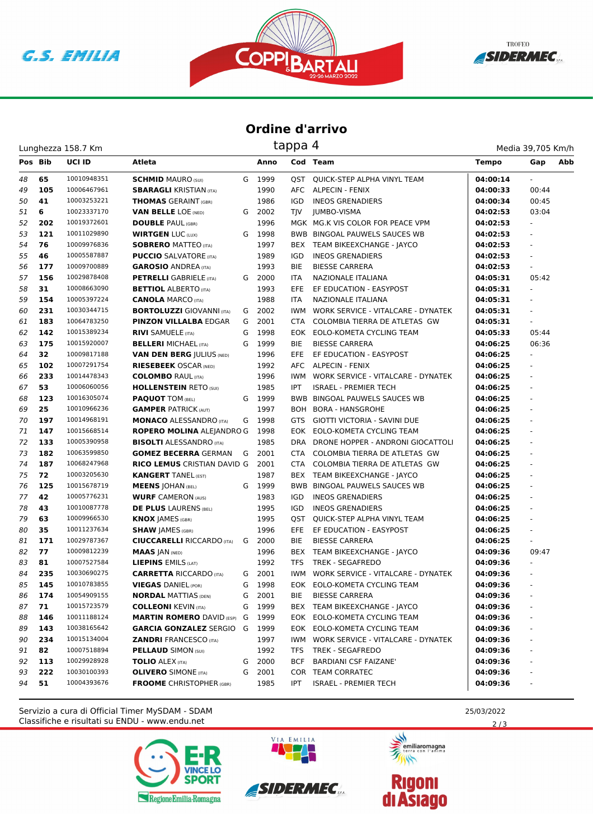C.S. EMILIA





## **Ordine d'arrivo**

| Lunghezza 158.7 Km | tappa 4 | Media 39.705 Km/h |
|--------------------|---------|-------------------|
|                    |         |                   |

| Pos Bib |     | UCI ID      | Atleta                             |   | Anno   |            | Cod Team                               | <b>Tempo</b> | Gap                      | Abb |
|---------|-----|-------------|------------------------------------|---|--------|------------|----------------------------------------|--------------|--------------------------|-----|
| 48      | 65  | 10010948351 | <b>SCHMID MAURO (SUI)</b>          |   | G 1999 | OST        | QUICK-STEP ALPHA VINYL TEAM            | 04:00:14     |                          |     |
| 49      | 105 | 10006467961 | <b>SBARAGLI KRISTIAN (ITA)</b>     |   | 1990   |            | AFC ALPECIN - FENIX                    | 04:00:33     | 00:44                    |     |
| 50      | 41  | 10003253221 | <b>THOMAS</b> GERAINT (GBR)        |   | 1986   | <b>IGD</b> | <b>INEOS GRENADIERS</b>                | 04:00:34     | 00:45                    |     |
| 51      | 6   | 10023337170 | <b>VAN BELLE LOE (NED)</b>         | G | 2002   | <b>TIV</b> | <b>JUMBO-VISMA</b>                     | 04:02:53     | 03:04                    |     |
| 52      | 202 | 10019372601 | <b>DOUBLE PAUL (GBR)</b>           |   | 1996   |            | MGK MG.K VIS COLOR FOR PEACE VPM       | 04:02:53     | $\omega$                 |     |
| 53      | 121 | 10011029890 | <b>WIRTGEN LUC (LUX)</b>           | G | 1998   |            | BWB BINGOAL PAUWELS SAUCES WB          | 04:02:53     |                          |     |
| 54      | 76  | 10009976836 | <b>SOBRERO MATTEO (ITA)</b>        |   | 1997   |            | BEX TEAM BIKEEXCHANGE - JAYCO          | 04:02:53     |                          |     |
| 55      | 46  | 10005587887 | <b>PUCCIO</b> SALVATORE (ITA)      |   | 1989   | IGD        | <b>INEOS GRENADIERS</b>                | 04:02:53     |                          |     |
| 56      | 177 | 10009700889 | <b>GAROSIO ANDREA (ITA)</b>        |   | 1993   | <b>BIE</b> | <b>BIESSE CARRERA</b>                  | 04:02:53     | ÷,                       |     |
| 57      | 156 | 10029878408 | <b>PETRELLI</b> GABRIELE (ITA)     |   | G 2000 | <b>ITA</b> | NAZIONALE ITALIANA                     | 04:05:31     | 05:42                    |     |
| 58      | 31  | 10008663090 | <b>BETTIOL ALBERTO (ITA)</b>       |   | 1993   | EFE.       | EF EDUCATION - EASYPOST                | 04:05:31     | $\omega$                 |     |
| 59      | 154 | 10005397224 | <b>CANOLA MARCO (ITA)</b>          |   | 1988   | <b>ITA</b> | <b>NAZIONALE ITALIANA</b>              | 04:05:31     |                          |     |
| 60      | 231 | 10030344715 | <b>BORTOLUZZI GIOVANNI (ITA)</b>   | G | 2002   | <b>IWM</b> | WORK SERVICE - VITALCARE - DYNATEK     | 04:05:31     |                          |     |
| 61      | 183 | 10064783250 | <b>PINZON VILLALBA EDGAR</b>       | G | 2001   | CTA        | COLOMBIA TIERRA DE ATLETAS GW          | 04:05:31     |                          |     |
| 62      | 142 | 10015389234 | <b>RIVI SAMUELE (ITA)</b>          | G | 1998   | EOK        | EOLO-KOMETA CYCLING TEAM               | 04:05:33     | 05:44                    |     |
| 63      | 175 | 10015920007 | <b>BELLERI MICHAEL (ITA)</b>       | G | 1999   | <b>BIE</b> | <b>BIESSE CARRERA</b>                  | 04:06:25     | 06:36                    |     |
| 64      | 32  | 10009817188 | <b>VAN DEN BERG  ULIUS (NED)</b>   |   | 1996   | EFE.       | EF EDUCATION - EASYPOST                | 04:06:25     | $\overline{\phantom{a}}$ |     |
| 65      | 102 | 10007291754 | <b>RIESEBEEK OSCAR (NED)</b>       |   | 1992   |            | AFC ALPECIN - FENIX                    | 04:06:25     |                          |     |
| 66      | 233 | 10014478343 | <b>COLOMBO RAUL (ITA)</b>          |   | 1996   | IWM        | WORK SERVICE - VITALCARE - DYNATEK     | 04:06:25     | ÷,                       |     |
| 67      | 53  | 10006060056 | <b>HOLLENSTEIN RETO (SUI)</b>      |   | 1985   | <b>IPT</b> | <b>ISRAEL - PREMIER TECH</b>           | 04:06:25     |                          |     |
| 68      | 123 | 10016305074 | <b>PAQUOT TOM (BEL)</b>            | G | 1999   |            | <b>BWB BINGOAL PAUWELS SAUCES WB</b>   | 04:06:25     | ä,                       |     |
| 69      | 25  | 10010966236 | <b>GAMPER PATRICK (AUT)</b>        |   | 1997   | BOH        | <b>BORA - HANSGROHE</b>                | 04:06:25     | ÷,                       |     |
| 70      | 197 | 10014968191 | <b>MONACO ALESSANDRO (ITA)</b>     | G | 1998   | <b>GTS</b> | GIOTTI VICTORIA - SAVINI DUE           | 04:06:25     |                          |     |
| 71      | 147 | 10015668514 | <b>ROPERO MOLINA ALEJANDRO G</b>   |   | 1998   |            | EOK EOLO-KOMETA CYCLING TEAM           | 04:06:25     |                          |     |
| 72      | 133 | 10005390958 | <b>BISOLTI ALESSANDRO (ITA)</b>    |   | 1985   | DRA        | DRONE HOPPER - ANDRONI GIOCATTOLI      | 04:06:25     |                          |     |
| 73      | 182 | 10063599850 | <b>GOMEZ BECERRA GERMAN</b>        | G | 2001   | CTA        | COLOMBIA TIERRA DE ATLETAS GW          | 04:06:25     |                          |     |
| 74      | 187 | 10068247968 | <b>RICO LEMUS CRISTIAN DAVID G</b> |   | 2001   | <b>CTA</b> | COLOMBIA TIERRA DE ATLETAS GW          | 04:06:25     | ä,                       |     |
| 75      | 72  | 10003205630 | <b>KANGERT TANEL (EST)</b>         |   | 1987   |            | BEX TEAM BIKEEXCHANGE - JAYCO          | 04:06:25     |                          |     |
| 76      | 125 | 10015678719 | <b>MEENS JOHAN (BEL)</b>           | G | 1999   |            | <b>BWB BINGOAL PAUWELS SAUCES WB</b>   | 04:06:25     | $\omega$                 |     |
| 77      | 42  | 10005776231 | <b>WURF CAMERON (AUS)</b>          |   | 1983   | <b>IGD</b> | <b>INEOS GRENADIERS</b>                | 04:06:25     |                          |     |
| 78      | 43  | 10010087778 | <b>DE PLUS LAURENS (BEL)</b>       |   | 1995   | <b>IGD</b> | <b>INEOS GRENADIERS</b>                | 04:06:25     |                          |     |
| 79      | 63  | 10009966530 | <b>KNOX JAMES (GBR)</b>            |   | 1995   | OST        | QUICK-STEP ALPHA VINYL TEAM            | 04:06:25     |                          |     |
| 80      | 35  | 10011237634 | <b>SHAW JAMES (GBR)</b>            |   | 1996   | EFE        | EF EDUCATION - EASYPOST                | 04:06:25     | ä,                       |     |
| 81      | 171 | 10029787367 | <b>CIUCCARELLI RICCARDO (ITA)</b>  | G | 2000   | <b>BIE</b> | <b>BIESSE CARRERA</b>                  | 04:06:25     | $\omega$                 |     |
| 82      | 77  | 10009812239 | <b>MAAS JAN (NED)</b>              |   | 1996   |            | BEX TEAM BIKEEXCHANGE - JAYCO          | 04:09:36     | 09:47                    |     |
| 83      | 81  | 10007527584 | <b>LIEPINS EMILS (LAT)</b>         |   | 1992   | <b>TFS</b> | <b>TREK - SEGAFREDO</b>                | 04:09:36     | $\overline{\phantom{a}}$ |     |
| 84      | 235 | 10030690275 | <b>CARRETTA RICCARDO (ITA)</b>     | G | 2001   | <b>IWM</b> | WORK SERVICE - VITALCARE - DYNATEK     | 04:09:36     |                          |     |
| 85      | 145 | 10010783855 | <b>VIEGAS DANIEL (POR)</b>         | G | 1998   |            | EOK EOLO-KOMETA CYCLING TEAM           | 04:09:36     |                          |     |
| 86      | 174 | 10054909155 | <b>NORDAL MATTIAS (DEN)</b>        | G | 2001   | BIE        | <b>BIESSE CARRERA</b>                  | 04:09:36     |                          |     |
| 87      | 71  | 10015723579 | <b>COLLEONI KEVIN (ITA)</b>        | G | 1999   |            | BEX TEAM BIKEEXCHANGE - JAYCO          | 04:09:36     |                          |     |
| 88      | 146 | 10011188124 | <b>MARTIN ROMERO DAVID (ESP)</b>   | G | 1999   |            | EOK EOLO-KOMETA CYCLING TEAM           | 04:09:36     |                          |     |
| 89      | 143 | 10038165642 | <b>GARCIA GONZALEZ SERGIO G</b>    |   | 1999   |            | EOK EOLO-KOMETA CYCLING TEAM           | 04:09:36     |                          |     |
| 90      | 234 | 10015134004 | <b>ZANDRI FRANCESCO (ITA)</b>      |   | 1997   |            | IWM WORK SERVICE - VITALCARE - DYNATEK | 04:09:36     |                          |     |
| 91      | 82  | 10007518894 | <b>PELLAUD SIMON (SUI)</b>         |   | 1992   | TFS        | <b>TREK - SEGAFREDO</b>                | 04:09:36     |                          |     |
| 92      | 113 | 10029928928 | <b>TOLIO ALEX (ITA)</b>            | G | 2000   | <b>BCF</b> | <b>BARDIANI CSF FAIZANE'</b>           | 04:09:36     |                          |     |
| 93      | 222 | 10030100393 | <b>OLIVERO</b> SIMONE (ITA)        | G | 2001   |            | COR TEAM CORRATEC                      | 04:09:36     |                          |     |
| 94      | 51  | 10004393676 | <b>FROOME</b> CHRISTOPHER (GBR)    |   | 1985   | IPT        | <b>ISRAEL - PREMIER TECH</b>           | 04:09:36     |                          |     |

Classifiche e risultati su ENDU - www.endu.net Servizio a cura di Official Timer MySDAM - SDAM 25/03/2022







 $2/3$